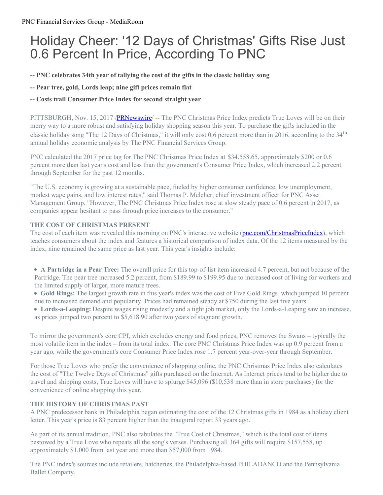# Holiday Cheer: '12 Days of Christmas' Gifts Rise Just 0.6 Percent In Price, According To PNC

**-- PNC celebrates 34th year of tallying the cost of the gifts in the classic holiday song**

**-- Pear tree, gold, Lords leap; nine gift prices remain flat**

## **-- Costs trail Consumer Price Index for second straight year**

PITTSBURGH, Nov. 15, 2017 [/PRNewswire](http://www.prnewswire.com/)/ -- The PNC Christmas Price Index predicts True Loves will be on their merry way to a more robust and satisfying holiday shopping season this year. To purchase the gifts included in the classic holiday song "The 12 Days of Christmas," it will only cost 0.6 percent more than in 2016, according to the 34<sup>th</sup> annual holiday economic analysis by The PNC Financial Services Group.

PNC calculated the 2017 price tag for The PNC Christmas Price Index at \$34,558.65, approximately \$200 or 0.6 percent more than last year's cost and less than the government's Consumer Price Index, which increased 2.2 percent through September for the past 12 months.

"The U.S. economy is growing at a sustainable pace, fueled by higher consumer confidence, low unemployment, modest wage gains, and low interest rates," said Thomas P. Melcher, chief investment officer for PNC Asset Management Group. "However, The PNC Christmas Price Index rose at slow steady pace of 0.6 percent in 2017, as companies appear hesitant to pass through price increases to the consumer."

### **THE COST OF CHRISTMAS PRESENT**

The cost of each item was revealed this morning on PNC's interactive website [\(pnc.com/ChristmasPriceIndex](http://pnc.co/ChristmasPriceIndex)), which teaches consumers about the index and features a historical comparison of index data. Of the 12 items measured by the index, nine remained the same price as last year. This year's insights include:

- **A Partridge in a Pear Tree:** The overall price for this top-of-list item increased 4.7 percent, but not because of the Partridge. The pear tree increased 5.2 percent, from \$189.99 to \$199.95 due to increased cost of living for workers and the limited supply of larger, more mature trees.
- **Gold Rings:** The largest growth rate in this year's index was the cost of Five Gold Rings, which jumped 10 percent due to increased demand and popularity. Prices had remained steady at \$750 during the last five years.
- **Lords-a-Leaping:** Despite wages rising modestly and a tight job market, only the Lords-a-Leaping saw an increase, as prices jumped two percent to \$5,618.90 after two years of stagnant growth.

To mirror the government's core CPI, which excludes energy and food prices, PNC removes the Swans – typically the most volatile item in the index – from its total index. The core PNC Christmas Price Index was up 0.9 percent from a year ago, while the government's core Consumer Price Index rose 1.7 percent year-over-year through September.

For those True Loves who prefer the convenience of shopping online, the PNC Christmas Price Index also calculates the cost of "The Twelve Days of Christmas" gifts purchased on the Internet. As Internet prices tend to be higher due to travel and shipping costs, True Loves will have to splurge \$45,096 (\$10,538 more than in store purchases) for the convenience of online shopping this year.

### **THE HISTORY OF CHRISTMAS PAST**

A PNC predecessor bank in Philadelphia began estimating the cost of the 12 Christmas gifts in 1984 as a holiday client letter. This year's price is 83 percent higher than the inaugural report 33 years ago.

As part of its annual tradition, PNC also tabulates the "True Cost of Christmas," which is the total cost of items bestowed by a True Love who repeats all the song's verses. Purchasing all 364 gifts will require \$157,558, up approximately \$1,000 from last year and more than \$57,000 from 1984.

The PNC index's sources include retailers, hatcheries, the Philadelphia-based PHILADANCO and the Pennsylvania Ballet Company.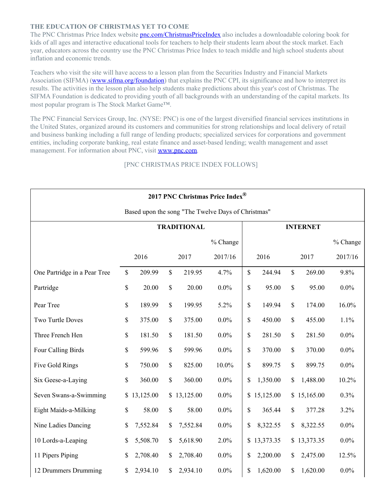### **THE EDUCATION OF CHRISTMAS YET TO COME**

The PNC Christmas Price Index website **[pnc.com/ChristmasPriceIndex](http://pnc.co/ChristmasPriceIndex)** also includes a downloadable coloring book for kids of all ages and interactive educational tools for teachers to help their students learn about the stock market. Each year, educators across the country use the PNC Christmas Price Index to teach middle and high school students about inflation and economic trends.

Teachers who visit the site will have access to a lesson plan from the Securities Industry and Financial Markets Association (SIFMA) [\(www.sifma.org/foundation](http://www.sifma.org/foundation)) that explains the PNC CPI, its significance and how to interpret its results. The activities in the lesson plan also help students make predictions about this year's cost of Christmas. The SIFMA Foundation is dedicated to providing youth of all backgrounds with an understanding of the capital markets. Its most popular program is The Stock Market Game™.

The PNC Financial Services Group, Inc. (NYSE: PNC) is one of the largest diversified financial services institutions in the United States, organized around its customers and communities for strong relationships and local delivery of retail and business banking including a full range of lending products; specialized services for corporations and government entities, including corporate banking, real estate finance and asset-based lending; wealth management and asset management. For information about PNC, visit [www.pnc.com](http://www.pnc.com/).

### [PNC CHRISTMAS PRICE INDEX FOLLOWS]

| 2017 PNC Christmas Price Index®                    |                    |           |      |             |          |                 |             |               |             |            |  |  |  |
|----------------------------------------------------|--------------------|-----------|------|-------------|----------|-----------------|-------------|---------------|-------------|------------|--|--|--|
| Based upon the song "The Twelve Days of Christmas" |                    |           |      |             |          |                 |             |               |             |            |  |  |  |
|                                                    | <b>TRADITIONAL</b> |           |      |             |          | <b>INTERNET</b> |             |               |             |            |  |  |  |
|                                                    |                    |           |      |             | % Change |                 |             |               |             | $%$ Change |  |  |  |
|                                                    | 2016               |           | 2017 |             | 2017/16  | 2016            |             | 2017          |             | 2017/16    |  |  |  |
| One Partridge in a Pear Tree                       | \$                 | 209.99    | \$   | 219.95      | 4.7%     | \$              | 244.94      | $\mathcal{S}$ | 269.00      | 9.8%       |  |  |  |
| Partridge                                          | \$                 | 20.00     | \$   | 20.00       | 0.0%     | \$              | 95.00       | \$            | 95.00       | $0.0\%$    |  |  |  |
| Pear Tree                                          | \$                 | 189.99    | \$   | 199.95      | 5.2%     | \$              | 149.94      | \$            | 174.00      | 16.0%      |  |  |  |
| <b>Two Turtle Doves</b>                            | \$                 | 375.00    | \$   | 375.00      | $0.0\%$  | \$              | 450.00      | $\mathcal{S}$ | 455.00      | 1.1%       |  |  |  |
| Three French Hen                                   | \$                 | 181.50    | \$   | 181.50      | $0.0\%$  | \$              | 281.50      | $\mathcal{S}$ | 281.50      | $0.0\%$    |  |  |  |
| Four Calling Birds                                 | \$                 | 599.96    | \$   | 599.96      | 0.0%     | \$              | 370.00      | $\mathbb{S}$  | 370.00      | $0.0\%$    |  |  |  |
| Five Gold Rings                                    | \$                 | 750.00    | \$   | 825.00      | 10.0%    | \$              | 899.75      | \$            | 899.75      | $0.0\%$    |  |  |  |
| Six Geese-a-Laying                                 | \$                 | 360.00    | \$   | 360.00      | $0.0\%$  | \$              | 1,350.00    | \$            | 1,488.00    | 10.2%      |  |  |  |
| Seven Swans-a-Swimming                             | \$                 | 13,125.00 |      | \$13,125.00 | 0.0%     |                 | \$15,125.00 |               | \$15,165.00 | 0.3%       |  |  |  |
| Eight Maids-a-Milking                              | \$                 | 58.00     | \$   | 58.00       | 0.0%     | \$              | 365.44      | \$            | 377.28      | 3.2%       |  |  |  |
| Nine Ladies Dancing                                | \$                 | 7,552.84  | \$   | 7,552.84    | 0.0%     | \$              | 8,322.55    | \$            | 8,322.55    | $0.0\%$    |  |  |  |
| 10 Lords-a-Leaping                                 | \$                 | 5,508.70  | \$   | 5,618.90    | 2.0%     |                 | \$13,373.35 |               | \$13,373.35 | $0.0\%$    |  |  |  |
| 11 Pipers Piping                                   | \$                 | 2,708.40  | \$   | 2,708.40    | 0.0%     | \$              | 2,200.00    | $\mathcal{S}$ | 2,475.00    | 12.5%      |  |  |  |
| 12 Drummers Drumming                               | \$                 | 2,934.10  | \$   | 2,934.10    | 0.0%     | \$              | 1,620.00    | \$            | 1,620.00    | $0.0\%$    |  |  |  |